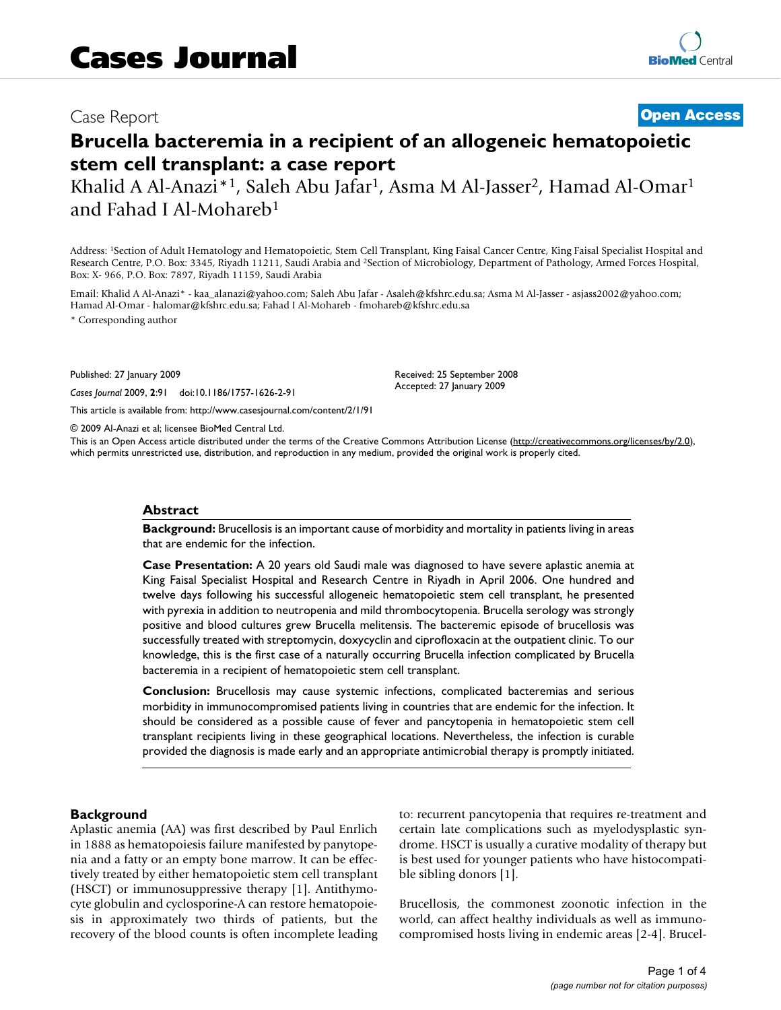## Case Report **[Open Access](http://www.biomedcentral.com/info/about/charter/)**

# **Brucella bacteremia in a recipient of an allogeneic hematopoietic stem cell transplant: a case report**

Khalid A Al-Anazi<sup>\*1</sup>, Saleh Abu Jafar<sup>1</sup>, Asma M Al-Jasser<sup>2</sup>, Hamad Al-Omar<sup>1</sup> and Fahad I Al-Mohareb1

Address: 1Section of Adult Hematology and Hematopoietic, Stem Cell Transplant, King Faisal Cancer Centre, King Faisal Specialist Hospital and Research Centre, P.O. Box: 3345, Riyadh 11211, Saudi Arabia and 2Section of Microbiology, Department of Pathology, Armed Forces Hospital, Box: X- 966, P.O. Box: 7897, Riyadh 11159, Saudi Arabia

Email: Khalid A Al-Anazi\* - kaa\_alanazi@yahoo.com; Saleh Abu Jafar - Asaleh@kfshrc.edu.sa; Asma M Al-Jasser - asjass2002@yahoo.com; Hamad Al-Omar - halomar@kfshrc.edu.sa; Fahad I Al-Mohareb - fmohareb@kfshrc.edu.sa

\* Corresponding author

Published: 27 January 2009

*Cases Journal* 2009, **2**:91 doi:10.1186/1757-1626-2-91

[This article is available from: http://www.casesjournal.com/content/2/1/91](http://www.casesjournal.com/content/2/1/91)

© 2009 Al-Anazi et al; licensee BioMed Central Ltd.

This is an Open Access article distributed under the terms of the Creative Commons Attribution License [\(http://creativecommons.org/licenses/by/2.0\)](http://creativecommons.org/licenses/by/2.0), which permits unrestricted use, distribution, and reproduction in any medium, provided the original work is properly cited.

Received: 25 September 2008 Accepted: 27 January 2009

#### **Abstract**

**Background:** Brucellosis is an important cause of morbidity and mortality in patients living in areas that are endemic for the infection.

**Case Presentation:** A 20 years old Saudi male was diagnosed to have severe aplastic anemia at King Faisal Specialist Hospital and Research Centre in Riyadh in April 2006. One hundred and twelve days following his successful allogeneic hematopoietic stem cell transplant, he presented with pyrexia in addition to neutropenia and mild thrombocytopenia. Brucella serology was strongly positive and blood cultures grew Brucella melitensis. The bacteremic episode of brucellosis was successfully treated with streptomycin, doxycyclin and ciprofloxacin at the outpatient clinic. To our knowledge, this is the first case of a naturally occurring Brucella infection complicated by Brucella bacteremia in a recipient of hematopoietic stem cell transplant.

**Conclusion:** Brucellosis may cause systemic infections, complicated bacteremias and serious morbidity in immunocompromised patients living in countries that are endemic for the infection. It should be considered as a possible cause of fever and pancytopenia in hematopoietic stem cell transplant recipients living in these geographical locations. Nevertheless, the infection is curable provided the diagnosis is made early and an appropriate antimicrobial therapy is promptly initiated.

#### **Background**

Aplastic anemia (AA) was first described by Paul Enrlich in 1888 as hematopoiesis failure manifested by panytopenia and a fatty or an empty bone marrow. It can be effectively treated by either hematopoietic stem cell transplant (HSCT) or immunosuppressive therapy [\[1\]](#page-3-0). Antithymocyte globulin and cyclosporine-A can restore hematopoiesis in approximately two thirds of patients, but the recovery of the blood counts is often incomplete leading to: recurrent pancytopenia that requires re-treatment and certain late complications such as myelodysplastic syndrome. HSCT is usually a curative modality of therapy but is best used for younger patients who have histocompatible sibling donors [\[1\]](#page-3-0).

Brucellosis, the commonest zoonotic infection in the world, can affect healthy individuals as well as immunocompromised hosts living in endemic areas [\[2-](#page-3-1)[4](#page-3-2)]. Brucel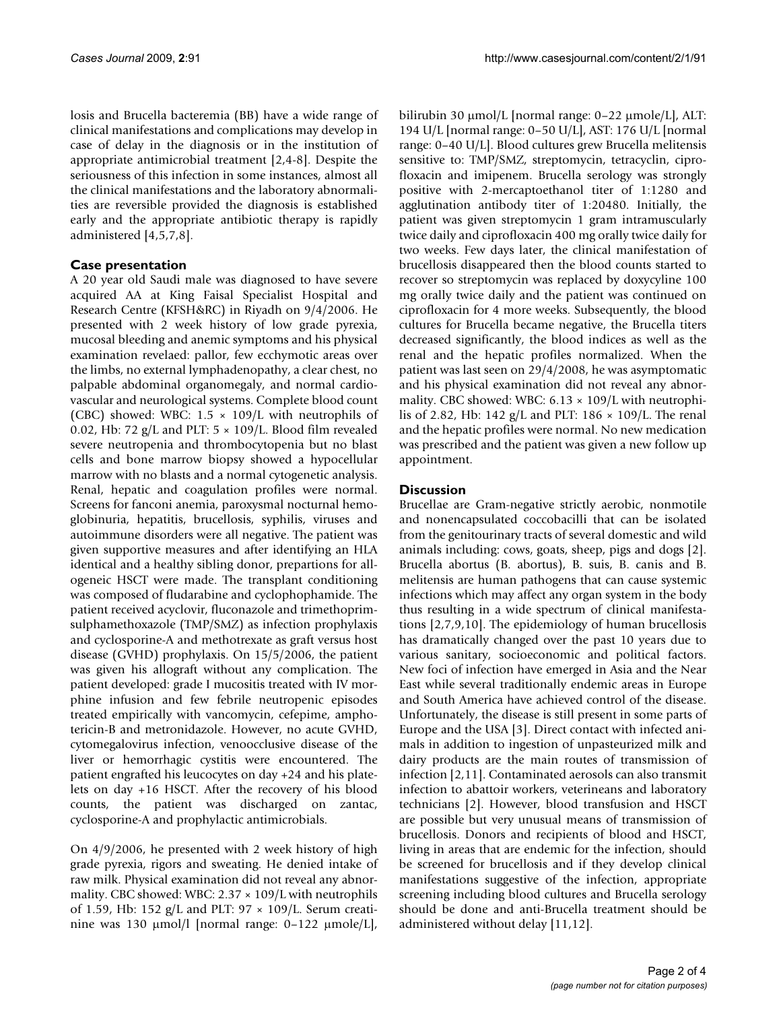losis and Brucella bacteremia (BB) have a wide range of clinical manifestations and complications may develop in case of delay in the diagnosis or in the institution of appropriate antimicrobial treatment [\[2](#page-3-1),[4](#page-3-2)[-8\]](#page-3-3). Despite the seriousness of this infection in some instances, almost all the clinical manifestations and the laboratory abnormalities are reversible provided the diagnosis is established early and the appropriate antibiotic therapy is rapidly administered [\[4](#page-3-2)[,5](#page-3-4)[,7,](#page-3-5)[8\]](#page-3-3).

### **Case presentation**

A 20 year old Saudi male was diagnosed to have severe acquired AA at King Faisal Specialist Hospital and Research Centre (KFSH&RC) in Riyadh on 9/4/2006. He presented with 2 week history of low grade pyrexia, mucosal bleeding and anemic symptoms and his physical examination revelaed: pallor, few ecchymotic areas over the limbs, no external lymphadenopathy, a clear chest, no palpable abdominal organomegaly, and normal cardiovascular and neurological systems. Complete blood count (CBC) showed: WBC: 1.5 × 109/L with neutrophils of 0.02, Hb: 72 g/L and PLT:  $5 \times 109$ /L. Blood film revealed severe neutropenia and thrombocytopenia but no blast cells and bone marrow biopsy showed a hypocellular marrow with no blasts and a normal cytogenetic analysis. Renal, hepatic and coagulation profiles were normal. Screens for fanconi anemia, paroxysmal nocturnal hemoglobinuria, hepatitis, brucellosis, syphilis, viruses and autoimmune disorders were all negative. The patient was given supportive measures and after identifying an HLA identical and a healthy sibling donor, prepartions for allogeneic HSCT were made. The transplant conditioning was composed of fludarabine and cyclophophamide. The patient received acyclovir, fluconazole and trimethoprimsulphamethoxazole (TMP/SMZ) as infection prophylaxis and cyclosporine-A and methotrexate as graft versus host disease (GVHD) prophylaxis. On 15/5/2006, the patient was given his allograft without any complication. The patient developed: grade I mucositis treated with IV morphine infusion and few febrile neutropenic episodes treated empirically with vancomycin, cefepime, amphotericin-B and metronidazole. However, no acute GVHD, cytomegalovirus infection, venoocclusive disease of the liver or hemorrhagic cystitis were encountered. The patient engrafted his leucocytes on day +24 and his platelets on day +16 HSCT. After the recovery of his blood counts, the patient was discharged on zantac, cyclosporine-A and prophylactic antimicrobials.

On 4/9/2006, he presented with 2 week history of high grade pyrexia, rigors and sweating. He denied intake of raw milk. Physical examination did not reveal any abnormality. CBC showed: WBC:  $2.37 \times 109/L$  with neutrophils of 1.59, Hb: 152 g/L and PLT: 97 × 109/L. Serum creatinine was 130 μmol/l [normal range: 0–122 μmole/L],

bilirubin 30 μmol/L [normal range: 0–22 μmole/L], ALT: 194 U/L [normal range: 0–50 U/L], AST: 176 U/L [normal range: 0–40 U/L]. Blood cultures grew Brucella melitensis sensitive to: TMP/SMZ, streptomycin, tetracyclin, ciprofloxacin and imipenem. Brucella serology was strongly positive with 2-mercaptoethanol titer of 1:1280 and agglutination antibody titer of 1:20480. Initially, the patient was given streptomycin 1 gram intramuscularly twice daily and ciprofloxacin 400 mg orally twice daily for two weeks. Few days later, the clinical manifestation of brucellosis disappeared then the blood counts started to recover so streptomycin was replaced by doxycyline 100 mg orally twice daily and the patient was continued on ciprofloxacin for 4 more weeks. Subsequently, the blood cultures for Brucella became negative, the Brucella titers decreased significantly, the blood indices as well as the renal and the hepatic profiles normalized. When the patient was last seen on 29/4/2008, he was asymptomatic and his physical examination did not reveal any abnormality. CBC showed: WBC: 6.13 × 109/L with neutrophilis of 2.82, Hb: 142 g/L and PLT: 186 × 109/L. The renal and the hepatic profiles were normal. No new medication was prescribed and the patient was given a new follow up appointment.

### **Discussion**

Brucellae are Gram-negative strictly aerobic, nonmotile and nonencapsulated coccobacilli that can be isolated from the genitourinary tracts of several domestic and wild animals including: cows, goats, sheep, pigs and dogs [[2](#page-3-1)]. Brucella abortus (B. abortus), B. suis, B. canis and B. melitensis are human pathogens that can cause systemic infections which may affect any organ system in the body thus resulting in a wide spectrum of clinical manifestations [[2](#page-3-1),[7](#page-3-5),[9](#page-3-6)[,10](#page-3-7)]. The epidemiology of human brucellosis has dramatically changed over the past 10 years due to various sanitary, socioeconomic and political factors. New foci of infection have emerged in Asia and the Near East while several traditionally endemic areas in Europe and South America have achieved control of the disease. Unfortunately, the disease is still present in some parts of Europe and the USA [[3](#page-3-8)]. Direct contact with infected animals in addition to ingestion of unpasteurized milk and dairy products are the main routes of transmission of infection [\[2](#page-3-1)[,11](#page-3-9)]. Contaminated aerosols can also transmit infection to abattoir workers, veterineans and laboratory technicians [\[2\]](#page-3-1). However, blood transfusion and HSCT are possible but very unusual means of transmission of brucellosis. Donors and recipients of blood and HSCT, living in areas that are endemic for the infection, should be screened for brucellosis and if they develop clinical manifestations suggestive of the infection, appropriate screening including blood cultures and Brucella serology should be done and anti-Brucella treatment should be administered without delay [[11](#page-3-9)[,12](#page-3-10)].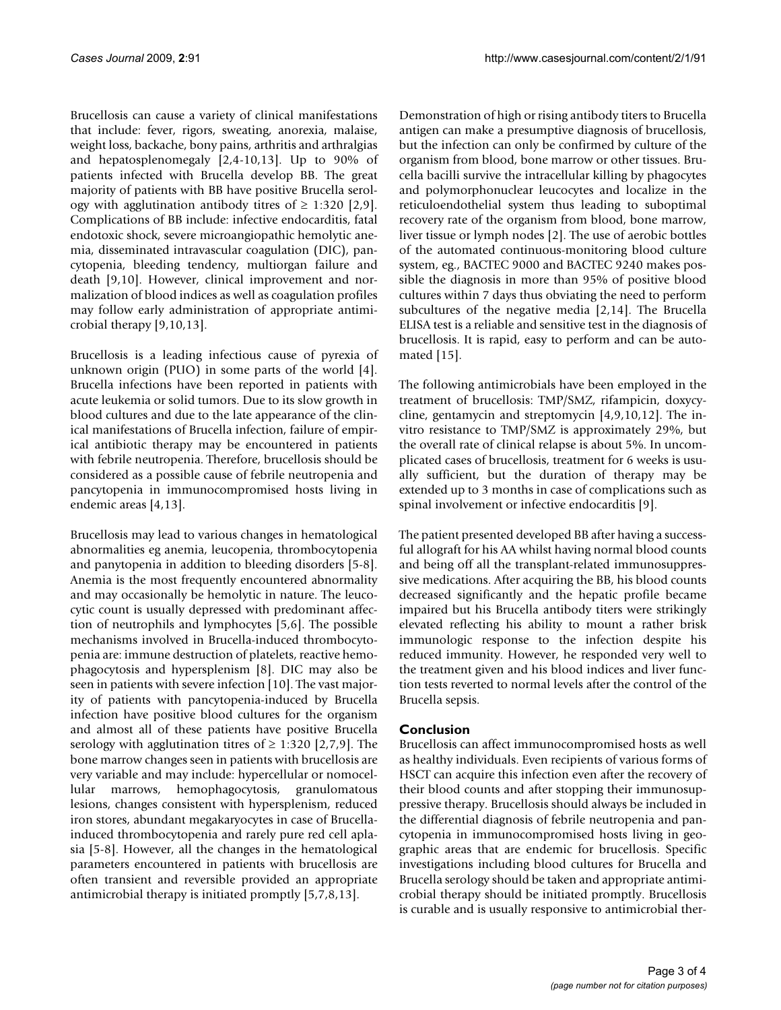Brucellosis can cause a variety of clinical manifestations that include: fever, rigors, sweating, anorexia, malaise, weight loss, backache, bony pains, arthritis and arthralgias and hepatosplenomegaly [[2,](#page-3-1)[4](#page-3-2)[-10](#page-3-7)[,13](#page-3-11)]. Up to 90% of patients infected with Brucella develop BB. The great majority of patients with BB have positive Brucella serology with agglutination antibody titres of  $\geq$  1:3[2](#page-3-1)0 [2,[9](#page-3-6)]. Complications of BB include: infective endocarditis, fatal endotoxic shock, severe microangiopathic hemolytic anemia, disseminated intravascular coagulation (DIC), pancytopenia, bleeding tendency, multiorgan failure and death [[9](#page-3-6),[10\]](#page-3-7). However, clinical improvement and normalization of blood indices as well as coagulation profiles may follow early administration of appropriate antimicrobial therapy [[9](#page-3-6)[,10](#page-3-7),[13\]](#page-3-11).

Brucellosis is a leading infectious cause of pyrexia of unknown origin (PUO) in some parts of the world [[4](#page-3-2)]. Brucella infections have been reported in patients with acute leukemia or solid tumors. Due to its slow growth in blood cultures and due to the late appearance of the clinical manifestations of Brucella infection, failure of empirical antibiotic therapy may be encountered in patients with febrile neutropenia. Therefore, brucellosis should be considered as a possible cause of febrile neutropenia and pancytopenia in immunocompromised hosts living in endemic areas [[4](#page-3-2),[13](#page-3-11)].

Brucellosis may lead to various changes in hematological abnormalities eg anemia, leucopenia, thrombocytopenia and panytopenia in addition to bleeding disorders [\[5-](#page-3-4)[8](#page-3-3)]. Anemia is the most frequently encountered abnormality and may occasionally be hemolytic in nature. The leucocytic count is usually depressed with predominant affection of neutrophils and lymphocytes [[5](#page-3-4),[6](#page-3-12)]. The possible mechanisms involved in Brucella-induced thrombocytopenia are: immune destruction of platelets, reactive hemophagocytosis and hypersplenism [\[8\]](#page-3-3). DIC may also be seen in patients with severe infection [\[10](#page-3-7)]. The vast majority of patients with pancytopenia-induced by Brucella infection have positive blood cultures for the organism and almost all of these patients have positive Brucella serology with agglutination titres of  $\geq$  1:320 [\[2,](#page-3-1)[7,](#page-3-5)[9](#page-3-6)]. The bone marrow changes seen in patients with brucellosis are very variable and may include: hypercellular or nomocellular marrows, hemophagocytosis, granulomatous lesions, changes consistent with hypersplenism, reduced iron stores, abundant megakaryocytes in case of Brucellainduced thrombocytopenia and rarely pure red cell aplasia [\[5-](#page-3-4)[8](#page-3-3)]. However, all the changes in the hematological parameters encountered in patients with brucellosis are often transient and reversible provided an appropriate antimicrobial therapy is initiated promptly [\[5](#page-3-4)[,7](#page-3-5)[,8](#page-3-3)[,13](#page-3-11)].

Demonstration of high or rising antibody titers to Brucella antigen can make a presumptive diagnosis of brucellosis, but the infection can only be confirmed by culture of the organism from blood, bone marrow or other tissues. Brucella bacilli survive the intracellular killing by phagocytes and polymorphonuclear leucocytes and localize in the reticuloendothelial system thus leading to suboptimal recovery rate of the organism from blood, bone marrow, liver tissue or lymph nodes [[2](#page-3-1)]. The use of aerobic bottles of the automated continuous-monitoring blood culture system, eg., BACTEC 9000 and BACTEC 9240 makes possible the diagnosis in more than 95% of positive blood cultures within 7 days thus obviating the need to perform subcultures of the negative media [[2](#page-3-1),[14](#page-3-13)]. The Brucella ELISA test is a reliable and sensitive test in the diagnosis of brucellosis. It is rapid, easy to perform and can be automated [[15](#page-3-14)].

The following antimicrobials have been employed in the treatment of brucellosis: TMP/SMZ, rifampicin, doxycycline, gentamycin and streptomycin [[4](#page-3-2),[9](#page-3-6),[10](#page-3-7),[12\]](#page-3-10). The invitro resistance to TMP/SMZ is approximately 29%, but the overall rate of clinical relapse is about 5%. In uncomplicated cases of brucellosis, treatment for 6 weeks is usually sufficient, but the duration of therapy may be extended up to 3 months in case of complications such as spinal involvement or infective endocarditis [\[9\]](#page-3-6).

The patient presented developed BB after having a successful allograft for his AA whilst having normal blood counts and being off all the transplant-related immunosuppressive medications. After acquiring the BB, his blood counts decreased significantly and the hepatic profile became impaired but his Brucella antibody titers were strikingly elevated reflecting his ability to mount a rather brisk immunologic response to the infection despite his reduced immunity. However, he responded very well to the treatment given and his blood indices and liver function tests reverted to normal levels after the control of the Brucella sepsis.

#### **Conclusion**

Brucellosis can affect immunocompromised hosts as well as healthy individuals. Even recipients of various forms of HSCT can acquire this infection even after the recovery of their blood counts and after stopping their immunosuppressive therapy. Brucellosis should always be included in the differential diagnosis of febrile neutropenia and pancytopenia in immunocompromised hosts living in geographic areas that are endemic for brucellosis. Specific investigations including blood cultures for Brucella and Brucella serology should be taken and appropriate antimicrobial therapy should be initiated promptly. Brucellosis is curable and is usually responsive to antimicrobial ther